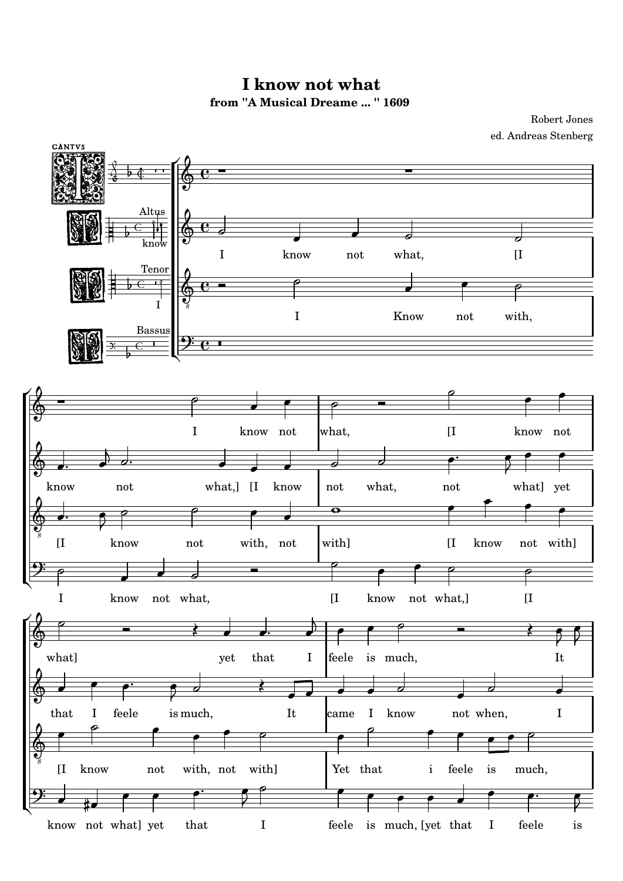**from ''A Musical Dreame ... '' 1609 I know not what**

ed. Andreas Stenberg Robert Jones

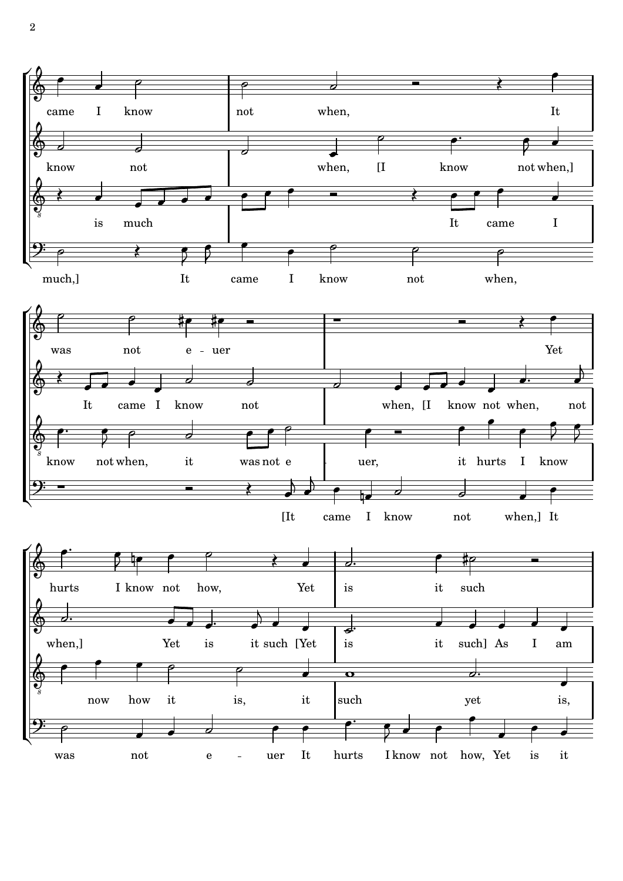

2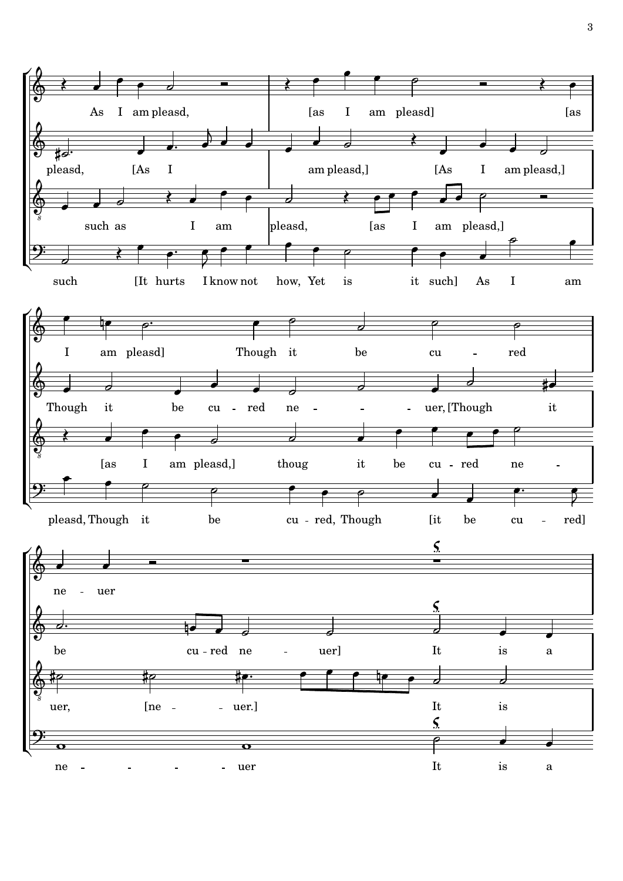